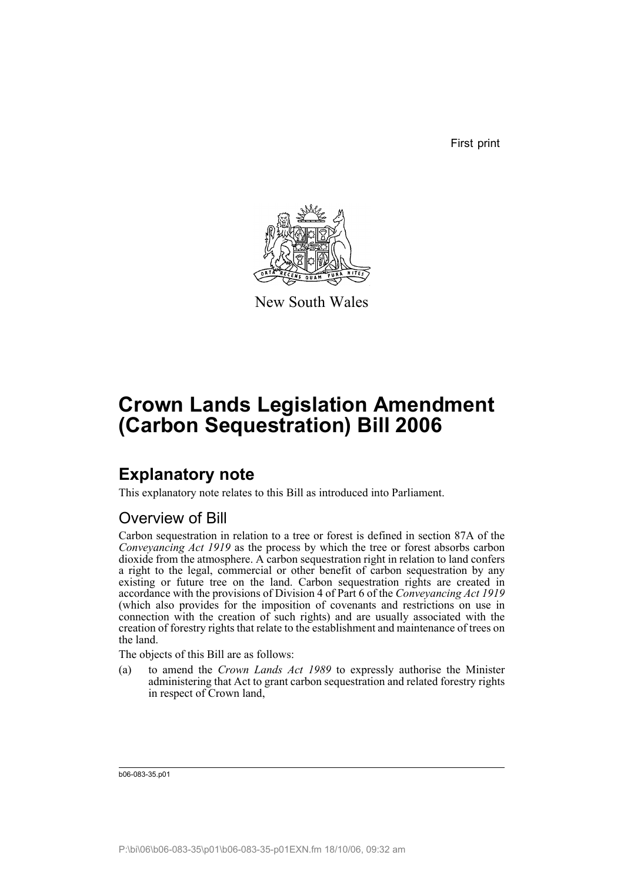First print



New South Wales

# **Crown Lands Legislation Amendment (Carbon Sequestration) Bill 2006**

# **Explanatory note**

This explanatory note relates to this Bill as introduced into Parliament.

## Overview of Bill

Carbon sequestration in relation to a tree or forest is defined in section 87A of the *Conveyancing Act 1919* as the process by which the tree or forest absorbs carbon dioxide from the atmosphere. A carbon sequestration right in relation to land confers a right to the legal, commercial or other benefit of carbon sequestration by any existing or future tree on the land. Carbon sequestration rights are created in accordance with the provisions of Division 4 of Part 6 of the *Conveyancing Act 1919* (which also provides for the imposition of covenants and restrictions on use in connection with the creation of such rights) and are usually associated with the creation of forestry rights that relate to the establishment and maintenance of trees on the land.

The objects of this Bill are as follows:

(a) to amend the *Crown Lands Act 1989* to expressly authorise the Minister administering that Act to grant carbon sequestration and related forestry rights in respect of Crown land,

b06-083-35.p01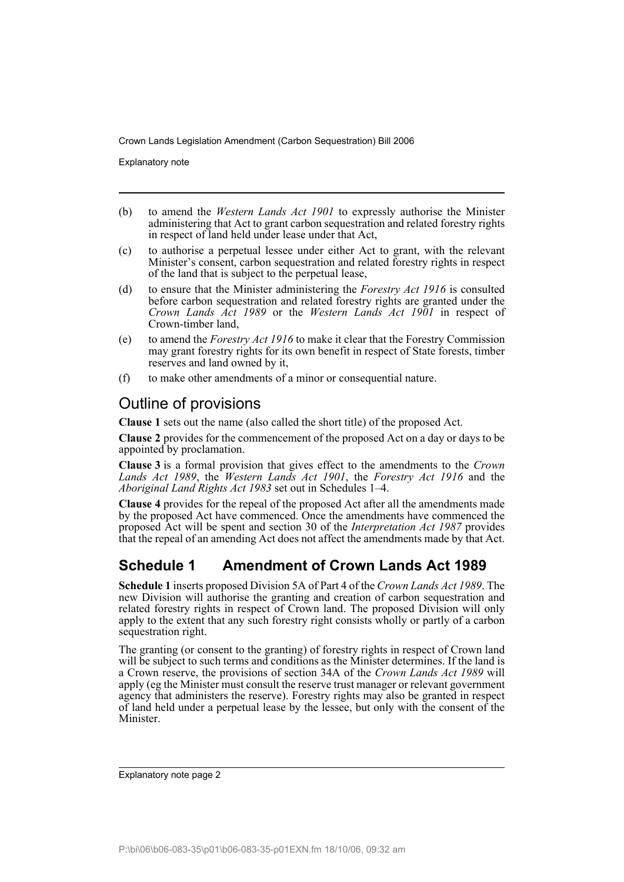Explanatory note

- (b) to amend the *Western Lands Act 1901* to expressly authorise the Minister administering that Act to grant carbon sequestration and related forestry rights in respect of land held under lease under that Act,
- (c) to authorise a perpetual lessee under either Act to grant, with the relevant Minister's consent, carbon sequestration and related forestry rights in respect of the land that is subject to the perpetual lease,
- (d) to ensure that the Minister administering the *Forestry Act 1916* is consulted before carbon sequestration and related forestry rights are granted under the *Crown Lands Act 1989* or the *Western Lands Act 1901* in respect of Crown-timber land,
- (e) to amend the *Forestry Act 1916* to make it clear that the Forestry Commission may grant forestry rights for its own benefit in respect of State forests, timber reserves and land owned by it,
- (f) to make other amendments of a minor or consequential nature.

### Outline of provisions

**Clause 1** sets out the name (also called the short title) of the proposed Act.

**Clause 2** provides for the commencement of the proposed Act on a day or days to be appointed by proclamation.

**Clause 3** is a formal provision that gives effect to the amendments to the *Crown Lands Act 1989*, the *Western Lands Act 1901*, the *Forestry Act 1916* and the *Aboriginal Land Rights Act 1983* set out in Schedules 1–4.

**Clause 4** provides for the repeal of the proposed Act after all the amendments made by the proposed Act have commenced. Once the amendments have commenced the proposed Act will be spent and section 30 of the *Interpretation Act 1987* provides that the repeal of an amending Act does not affect the amendments made by that Act.

## **Schedule 1 Amendment of Crown Lands Act 1989**

**Schedule 1** inserts proposed Division 5A of Part 4 of the *Crown Lands Act 1989*. The new Division will authorise the granting and creation of carbon sequestration and related forestry rights in respect of Crown land. The proposed Division will only apply to the extent that any such forestry right consists wholly or partly of a carbon sequestration right.

The granting (or consent to the granting) of forestry rights in respect of Crown land will be subject to such terms and conditions as the Minister determines. If the land is a Crown reserve, the provisions of section 34A of the *Crown Lands Act 1989* will apply (eg the Minister must consult the reserve trust manager or relevant government agency that administers the reserve). Forestry rights may also be granted in respect of land held under a perpetual lease by the lessee, but only with the consent of the Minister.

Explanatory note page 2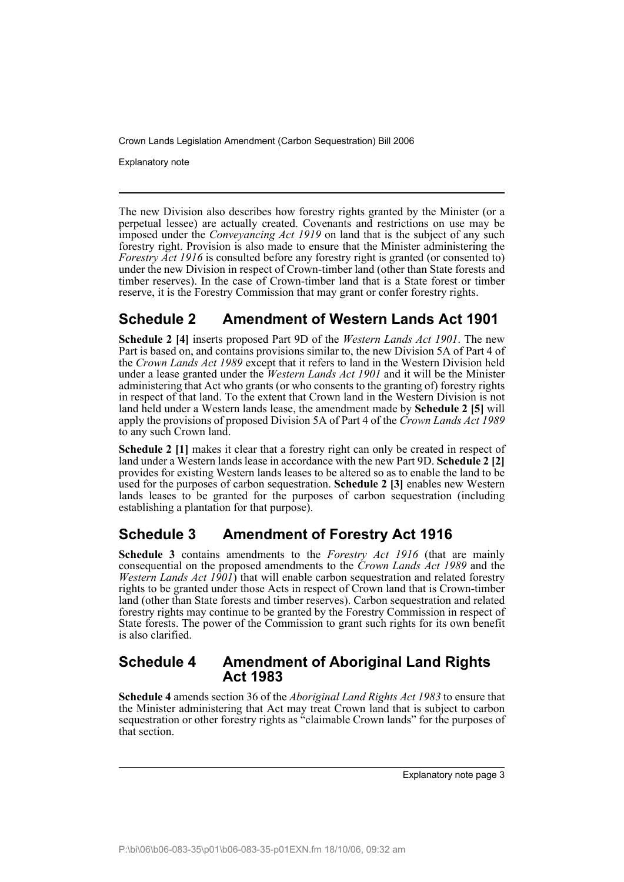Explanatory note

The new Division also describes how forestry rights granted by the Minister (or a perpetual lessee) are actually created. Covenants and restrictions on use may be imposed under the *Conveyancing Act 1919* on land that is the subject of any such forestry right. Provision is also made to ensure that the Minister administering the *Forestry Act 1916* is consulted before any forestry right is granted (or consented to) under the new Division in respect of Crown-timber land (other than State forests and timber reserves). In the case of Crown-timber land that is a State forest or timber reserve, it is the Forestry Commission that may grant or confer forestry rights.

# **Schedule 2 Amendment of Western Lands Act 1901**

**Schedule 2 [4]** inserts proposed Part 9D of the *Western Lands Act 1901*. The new Part is based on, and contains provisions similar to, the new Division 5A of Part 4 of the *Crown Lands Act 1989* except that it refers to land in the Western Division held under a lease granted under the *Western Lands Act 1901* and it will be the Minister administering that Act who grants (or who consents to the granting of) forestry rights in respect of that land. To the extent that Crown land in the Western Division is not land held under a Western lands lease, the amendment made by **Schedule 2 [5]** will apply the provisions of proposed Division 5A of Part 4 of the *Crown Lands Act 1989* to any such Crown land.

**Schedule 2 [1]** makes it clear that a forestry right can only be created in respect of land under a Western lands lease in accordance with the new Part 9D. **Schedule 2 [2]** provides for existing Western lands leases to be altered so as to enable the land to be used for the purposes of carbon sequestration. **Schedule 2 [3]** enables new Western lands leases to be granted for the purposes of carbon sequestration (including establishing a plantation for that purpose).

# **Schedule 3 Amendment of Forestry Act 1916**

**Schedule 3** contains amendments to the *Forestry Act 1916* (that are mainly consequential on the proposed amendments to the *Crown Lands Act 1989* and the *Western Lands Act 1901*) that will enable carbon sequestration and related forestry rights to be granted under those Acts in respect of Crown land that is Crown-timber land (other than State forests and timber reserves). Carbon sequestration and related forestry rights may continue to be granted by the Forestry Commission in respect of State forests. The power of the Commission to grant such rights for its own benefit is also clarified.

### **Schedule 4 Amendment of Aboriginal Land Rights Act 1983**

**Schedule 4** amends section 36 of the *Aboriginal Land Rights Act 1983* to ensure that the Minister administering that Act may treat Crown land that is subject to carbon sequestration or other forestry rights as "claimable Crown lands" for the purposes of that section.

Explanatory note page 3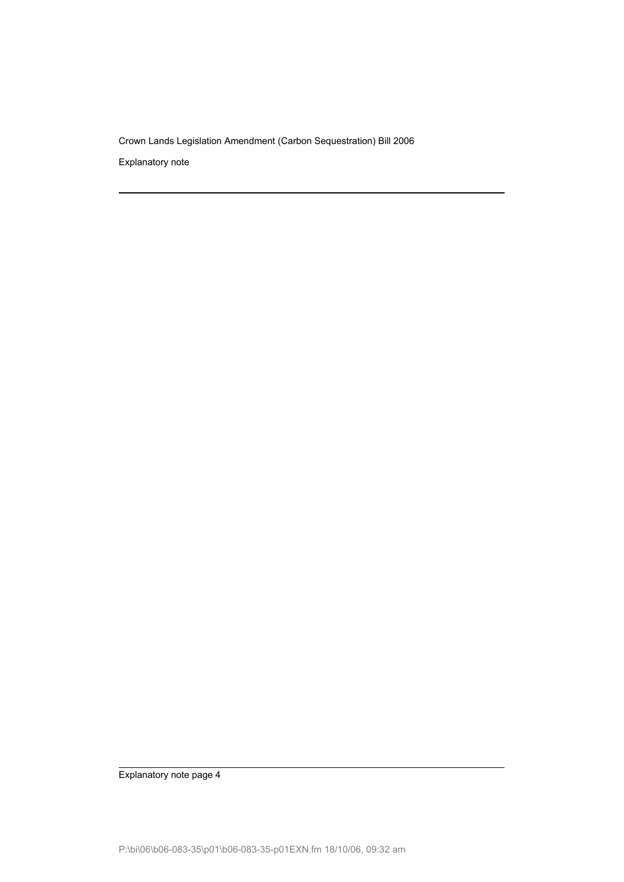Explanatory note

Explanatory note page 4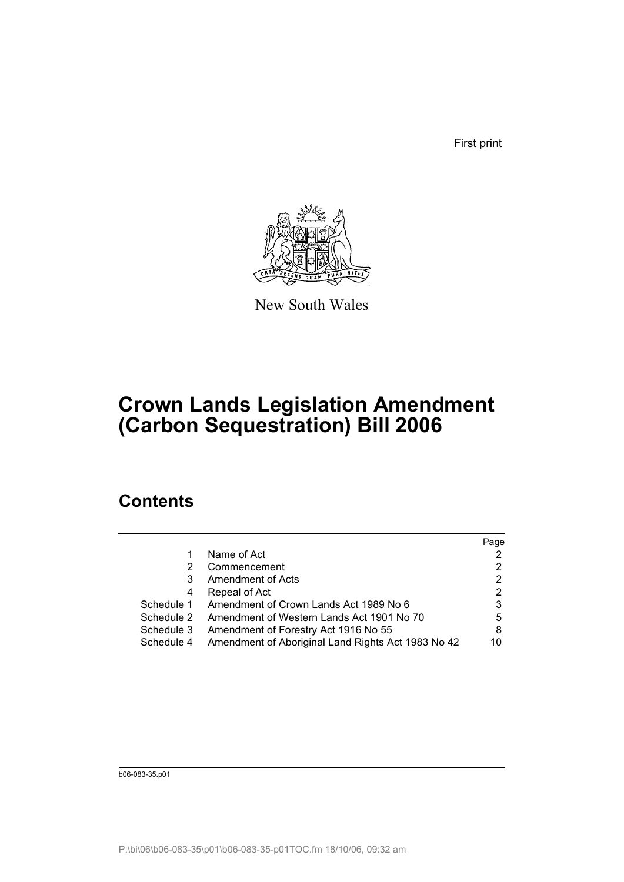First print



New South Wales

# **Crown Lands Legislation Amendment (Carbon Sequestration) Bill 2006**

# **Contents**

|                                                    | Page |
|----------------------------------------------------|------|
| Name of Act                                        |      |
| Commencement                                       | 2    |
| <b>Amendment of Acts</b>                           | 2    |
| Repeal of Act                                      | 2    |
| Amendment of Crown Lands Act 1989 No 6             | 3    |
| Amendment of Western Lands Act 1901 No 70          | 5    |
| Amendment of Forestry Act 1916 No 55               | 8    |
| Amendment of Aboriginal Land Rights Act 1983 No 42 | 10   |
|                                                    |      |

b06-083-35.p01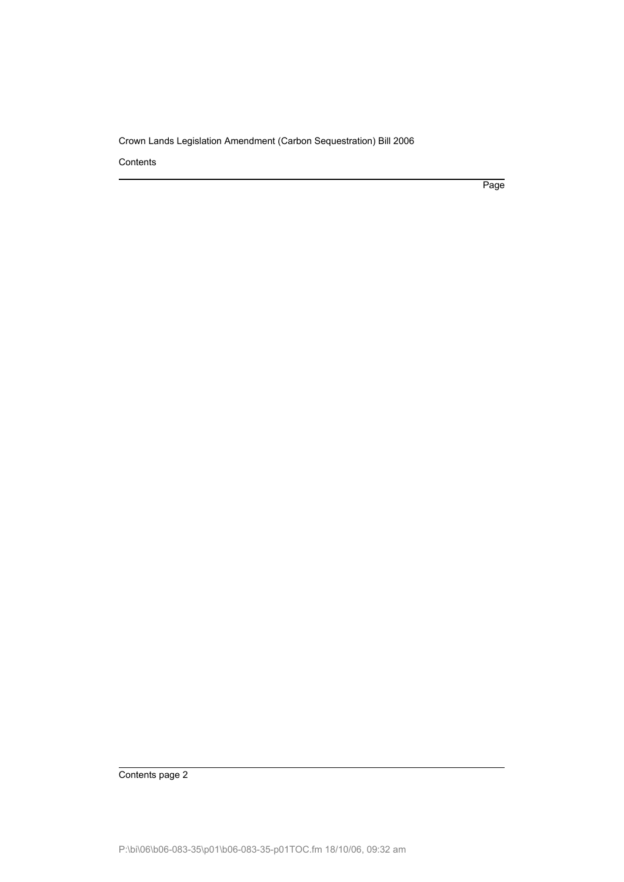Contents

Page

Contents page 2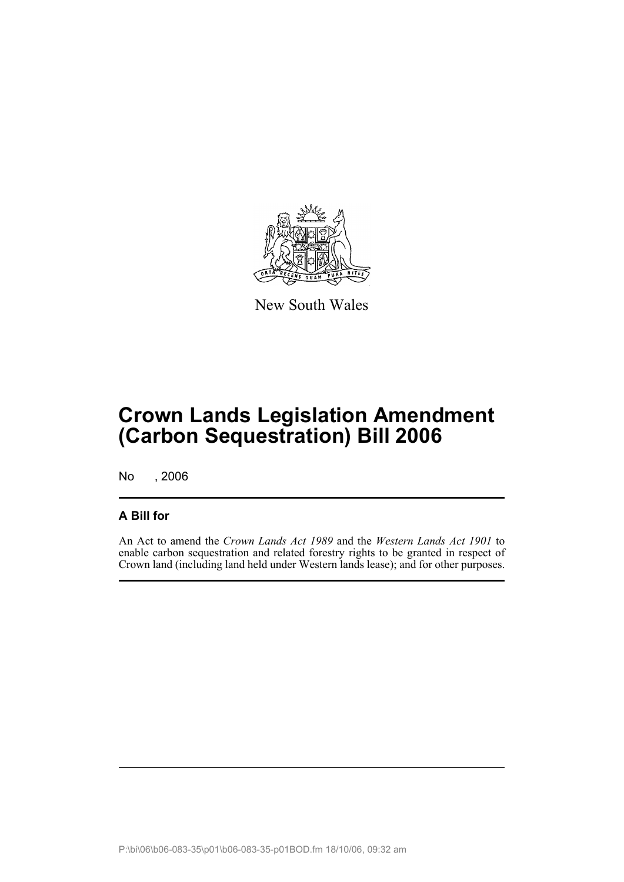

New South Wales

# **Crown Lands Legislation Amendment (Carbon Sequestration) Bill 2006**

No , 2006

#### **A Bill for**

An Act to amend the *Crown Lands Act 1989* and the *Western Lands Act 1901* to enable carbon sequestration and related forestry rights to be granted in respect of Crown land (including land held under Western lands lease); and for other purposes.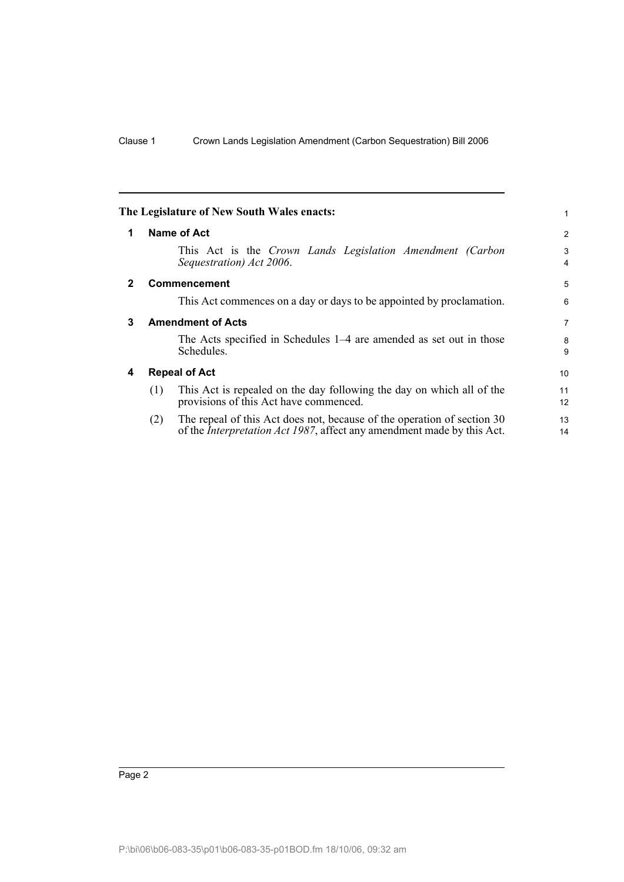<span id="page-7-3"></span><span id="page-7-2"></span><span id="page-7-1"></span><span id="page-7-0"></span>

|   |                      | The Legislature of New South Wales enacts:                                                                                                                | 1              |
|---|----------------------|-----------------------------------------------------------------------------------------------------------------------------------------------------------|----------------|
| 1 |                      | Name of Act                                                                                                                                               | 2              |
|   |                      | This Act is the Crown Lands Legislation Amendment (Carbon<br>Sequestration) Act 2006.                                                                     | 3<br>4         |
| 2 |                      | <b>Commencement</b>                                                                                                                                       | 5              |
|   |                      | This Act commences on a day or days to be appointed by proclamation.                                                                                      | 6              |
| 3 |                      | <b>Amendment of Acts</b>                                                                                                                                  | $\overline{7}$ |
|   |                      | The Acts specified in Schedules 1–4 are amended as set out in those<br>Schedules.                                                                         | 8<br>9         |
| 4 | <b>Repeal of Act</b> |                                                                                                                                                           |                |
|   | (1)                  | This Act is repealed on the day following the day on which all of the<br>provisions of this Act have commenced.                                           | 11<br>12       |
|   | (2)                  | The repeal of this Act does not, because of the operation of section 30<br>of the <i>Interpretation Act 1987</i> , affect any amendment made by this Act. | 13<br>14       |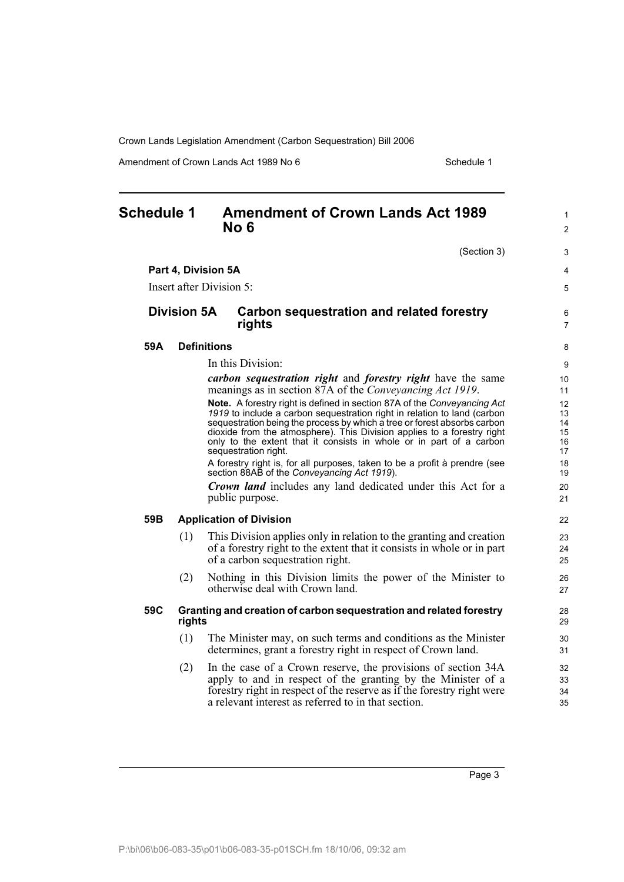Amendment of Crown Lands Act 1989 No 6 Schedule 1

<span id="page-8-0"></span>

| <b>Schedule 1</b> |                    | <b>Amendment of Crown Lands Act 1989</b><br>No 6                                                                                                                                                                                                                                                                                                                                                           | 1<br>$\overline{c}$              |
|-------------------|--------------------|------------------------------------------------------------------------------------------------------------------------------------------------------------------------------------------------------------------------------------------------------------------------------------------------------------------------------------------------------------------------------------------------------------|----------------------------------|
|                   |                    | (Section 3)                                                                                                                                                                                                                                                                                                                                                                                                | 3                                |
|                   |                    | Part 4, Division 5A                                                                                                                                                                                                                                                                                                                                                                                        | 4                                |
|                   |                    | <b>Insert after Division 5:</b>                                                                                                                                                                                                                                                                                                                                                                            | 5                                |
|                   | <b>Division 5A</b> | Carbon sequestration and related forestry<br>rights                                                                                                                                                                                                                                                                                                                                                        | 6<br>7                           |
| 59A               |                    | <b>Definitions</b>                                                                                                                                                                                                                                                                                                                                                                                         | 8                                |
|                   |                    | In this Division:                                                                                                                                                                                                                                                                                                                                                                                          | 9                                |
|                   |                    | <i>carbon sequestration right and forestry right have the same</i><br>meanings as in section 87A of the Conveyancing Act 1919.                                                                                                                                                                                                                                                                             | 10<br>11                         |
|                   |                    | Note. A forestry right is defined in section 87A of the Conveyancing Act<br>1919 to include a carbon sequestration right in relation to land (carbon<br>sequestration being the process by which a tree or forest absorbs carbon<br>dioxide from the atmosphere). This Division applies to a forestry right<br>only to the extent that it consists in whole or in part of a carbon<br>sequestration right. | 12<br>13<br>14<br>15<br>16<br>17 |
|                   |                    | A forestry right is, for all purposes, taken to be a profit à prendre (see<br>section 88AB of the Conveyancing Act 1919).                                                                                                                                                                                                                                                                                  | 18<br>19                         |
|                   |                    | <b>Crown land</b> includes any land dedicated under this Act for a<br>public purpose.                                                                                                                                                                                                                                                                                                                      | 20<br>21                         |
| 59B               |                    | <b>Application of Division</b>                                                                                                                                                                                                                                                                                                                                                                             | 22                               |
|                   | (1)                | This Division applies only in relation to the granting and creation<br>of a forestry right to the extent that it consists in whole or in part<br>of a carbon sequestration right.                                                                                                                                                                                                                          | 23<br>24<br>25                   |
|                   | (2)                | Nothing in this Division limits the power of the Minister to<br>otherwise deal with Crown land.                                                                                                                                                                                                                                                                                                            | 26<br>27                         |
| 59C               | rights             | Granting and creation of carbon sequestration and related forestry                                                                                                                                                                                                                                                                                                                                         | 28<br>29                         |
|                   | (1)                | The Minister may, on such terms and conditions as the Minister<br>determines, grant a forestry right in respect of Crown land.                                                                                                                                                                                                                                                                             | 30<br>31                         |
|                   | (2)                | In the case of a Crown reserve, the provisions of section 34A<br>apply to and in respect of the granting by the Minister of a<br>forestry right in respect of the reserve as if the forestry right were<br>a relevant interest as referred to in that section.                                                                                                                                             | 32<br>33<br>34<br>35             |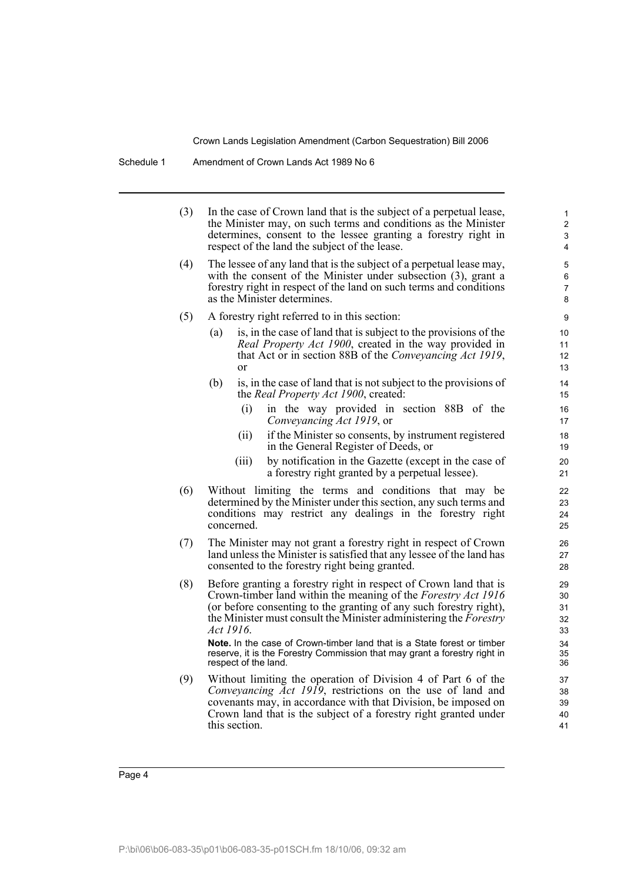(3) In the case of Crown land that is the subject of a perpetual lease, the Minister may, on such terms and conditions as the Minister determines, consent to the lessee granting a forestry right in respect of the land the subject of the lease.

- (4) The lessee of any land that is the subject of a perpetual lease may, with the consent of the Minister under subsection (3), grant a forestry right in respect of the land on such terms and conditions as the Minister determines.
- (5) A forestry right referred to in this section:
	- (a) is, in the case of land that is subject to the provisions of the *Real Property Act 1900*, created in the way provided in that Act or in section 88B of the *Conveyancing Act 1919*, or
	- (b) is, in the case of land that is not subject to the provisions of the *Real Property Act 1900*, created:
		- (i) in the way provided in section 88B of the *Conveyancing Act 1919*, or
		- (ii) if the Minister so consents, by instrument registered in the General Register of Deeds, or
		- (iii) by notification in the Gazette (except in the case of a forestry right granted by a perpetual lessee).
- (6) Without limiting the terms and conditions that may be determined by the Minister under this section, any such terms and conditions may restrict any dealings in the forestry right concerned.
- (7) The Minister may not grant a forestry right in respect of Crown land unless the Minister is satisfied that any lessee of the land has consented to the forestry right being granted.
- (8) Before granting a forestry right in respect of Crown land that is Crown-timber land within the meaning of the *Forestry Act 1916* (or before consenting to the granting of any such forestry right), the Minister must consult the Minister administering the *Forestry Act 1916*.

**Note.** In the case of Crown-timber land that is a State forest or timber reserve, it is the Forestry Commission that may grant a forestry right in respect of the land.

(9) Without limiting the operation of Division 4 of Part 6 of the *Conveyancing Act 1919*, restrictions on the use of land and covenants may, in accordance with that Division, be imposed on Crown land that is the subject of a forestry right granted under this section.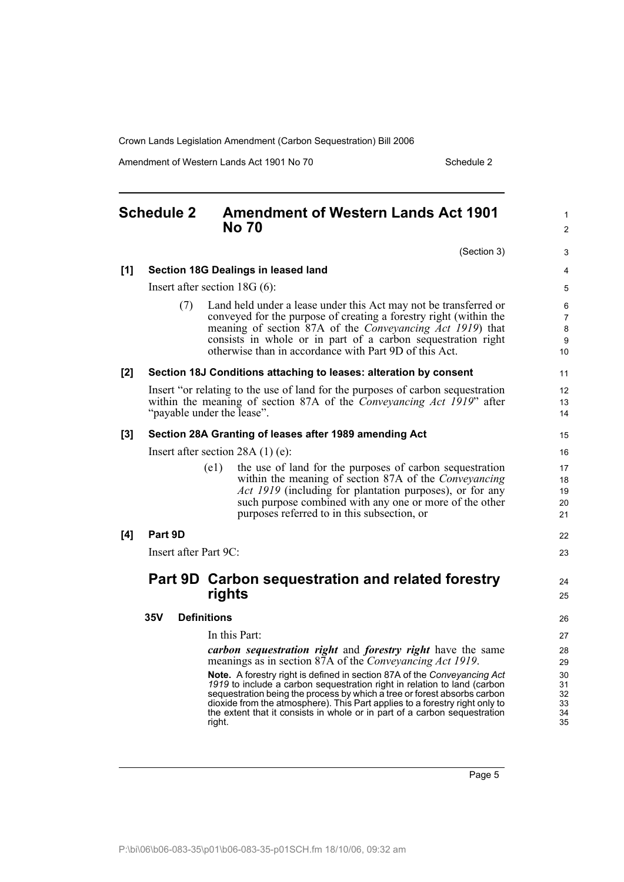Amendment of Western Lands Act 1901 No 70 Schedule 2

<span id="page-10-0"></span>

| <b>Schedule 2</b> | <b>Amendment of Western Lands Act 1901</b><br><b>No 70</b>                                                                                                                                                                                                                                                                                                                                             | $\mathbf{1}$<br>2                                                                                                                                                                                                                                                                                                                                                                                                                                                                                                                         |
|-------------------|--------------------------------------------------------------------------------------------------------------------------------------------------------------------------------------------------------------------------------------------------------------------------------------------------------------------------------------------------------------------------------------------------------|-------------------------------------------------------------------------------------------------------------------------------------------------------------------------------------------------------------------------------------------------------------------------------------------------------------------------------------------------------------------------------------------------------------------------------------------------------------------------------------------------------------------------------------------|
|                   | (Section 3)                                                                                                                                                                                                                                                                                                                                                                                            | 3                                                                                                                                                                                                                                                                                                                                                                                                                                                                                                                                         |
|                   |                                                                                                                                                                                                                                                                                                                                                                                                        | 4                                                                                                                                                                                                                                                                                                                                                                                                                                                                                                                                         |
|                   |                                                                                                                                                                                                                                                                                                                                                                                                        | 5                                                                                                                                                                                                                                                                                                                                                                                                                                                                                                                                         |
| (7)               | Land held under a lease under this Act may not be transferred or<br>conveyed for the purpose of creating a forestry right (within the<br>meaning of section 87A of the Conveyancing Act 1919) that<br>consists in whole or in part of a carbon sequestration right<br>otherwise than in accordance with Part 9D of this Act.                                                                           | 6<br>$\overline{7}$<br>8<br>9<br>10                                                                                                                                                                                                                                                                                                                                                                                                                                                                                                       |
|                   |                                                                                                                                                                                                                                                                                                                                                                                                        | 11                                                                                                                                                                                                                                                                                                                                                                                                                                                                                                                                        |
|                   |                                                                                                                                                                                                                                                                                                                                                                                                        | 12<br>13<br>14                                                                                                                                                                                                                                                                                                                                                                                                                                                                                                                            |
|                   |                                                                                                                                                                                                                                                                                                                                                                                                        | 15                                                                                                                                                                                                                                                                                                                                                                                                                                                                                                                                        |
|                   |                                                                                                                                                                                                                                                                                                                                                                                                        | 16                                                                                                                                                                                                                                                                                                                                                                                                                                                                                                                                        |
|                   | the use of land for the purposes of carbon sequestration<br>(e1)<br>within the meaning of section 87A of the Conveyancing<br><i>Act 1919</i> (including for plantation purposes), or for any<br>such purpose combined with any one or more of the other<br>purposes referred to in this subsection, or                                                                                                 | 17<br>18<br>19<br>20<br>21                                                                                                                                                                                                                                                                                                                                                                                                                                                                                                                |
| Part 9D           |                                                                                                                                                                                                                                                                                                                                                                                                        | 22                                                                                                                                                                                                                                                                                                                                                                                                                                                                                                                                        |
|                   |                                                                                                                                                                                                                                                                                                                                                                                                        | 23                                                                                                                                                                                                                                                                                                                                                                                                                                                                                                                                        |
|                   |                                                                                                                                                                                                                                                                                                                                                                                                        | 24                                                                                                                                                                                                                                                                                                                                                                                                                                                                                                                                        |
|                   | rights                                                                                                                                                                                                                                                                                                                                                                                                 | 25                                                                                                                                                                                                                                                                                                                                                                                                                                                                                                                                        |
| 35V               |                                                                                                                                                                                                                                                                                                                                                                                                        | 26                                                                                                                                                                                                                                                                                                                                                                                                                                                                                                                                        |
|                   | In this Part:                                                                                                                                                                                                                                                                                                                                                                                          | 27                                                                                                                                                                                                                                                                                                                                                                                                                                                                                                                                        |
|                   | <i>carbon sequestration right and forestry right have the same</i><br>meanings as in section 87A of the <i>Conveyancing Act 1919</i> .                                                                                                                                                                                                                                                                 | 28<br>29                                                                                                                                                                                                                                                                                                                                                                                                                                                                                                                                  |
|                   | Note. A forestry right is defined in section 87A of the Conveyancing Act<br>1919 to include a carbon sequestration right in relation to land (carbon<br>sequestration being the process by which a tree or forest absorbs carbon<br>dioxide from the atmosphere). This Part applies to a forestry right only to<br>the extent that it consists in whole or in part of a carbon sequestration<br>right. | 30<br>31<br>32<br>33<br>34<br>35                                                                                                                                                                                                                                                                                                                                                                                                                                                                                                          |
|                   |                                                                                                                                                                                                                                                                                                                                                                                                        | Section 18G Dealings in leased land<br>Insert after section $18G(6)$ :<br>Section 18J Conditions attaching to leases: alteration by consent<br>Insert "or relating to the use of land for the purposes of carbon sequestration<br>within the meaning of section 87A of the Conveyancing Act 1919" after<br>"payable under the lease".<br>Section 28A Granting of leases after 1989 amending Act<br>Insert after section $28A(1)(e)$ :<br>Insert after Part 9C:<br>Part 9D Carbon sequestration and related forestry<br><b>Definitions</b> |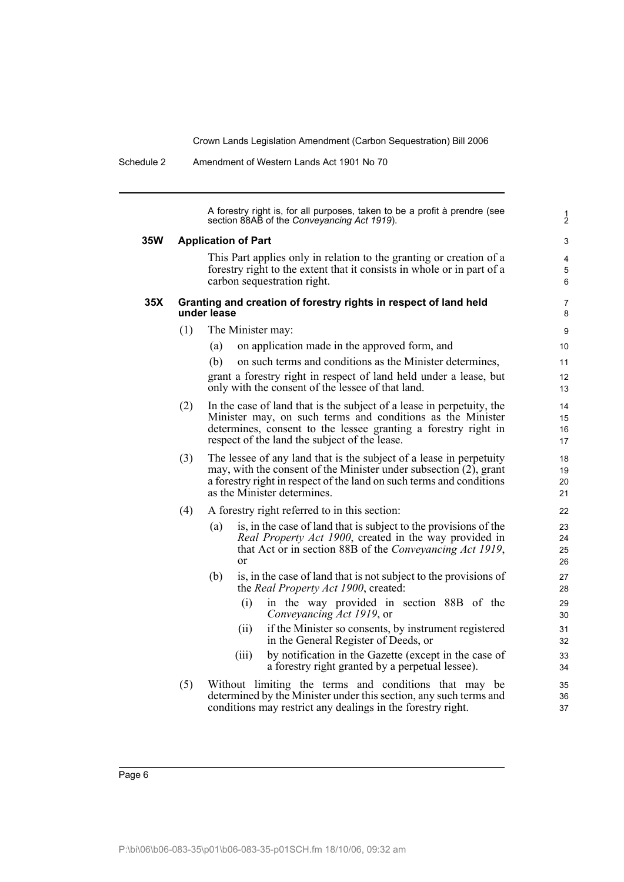A forestry right is, for all purposes, taken to be a profit à prendre (see section 88AB of the *Conveyancing Act 1919*).

|     |     | A forestry right is, for all purposes, taken to be a profit a prendre (see<br>section 88AB of the Conveyancing Act 1919).                                                                                                                              | $\frac{1}{2}$        |  |  |
|-----|-----|--------------------------------------------------------------------------------------------------------------------------------------------------------------------------------------------------------------------------------------------------------|----------------------|--|--|
| 35W |     | <b>Application of Part</b>                                                                                                                                                                                                                             | 3                    |  |  |
|     |     | This Part applies only in relation to the granting or creation of a<br>forestry right to the extent that it consists in whole or in part of a<br>carbon sequestration right.                                                                           | 4<br>5<br>6          |  |  |
| 35X |     | Granting and creation of forestry rights in respect of land held<br>under lease                                                                                                                                                                        | 7<br>8               |  |  |
|     | (1) | The Minister may:                                                                                                                                                                                                                                      | $\boldsymbol{9}$     |  |  |
|     |     | on application made in the approved form, and<br>(a)                                                                                                                                                                                                   | 10                   |  |  |
|     |     | on such terms and conditions as the Minister determines,<br>(b)                                                                                                                                                                                        | 11                   |  |  |
|     |     | grant a forestry right in respect of land held under a lease, but<br>only with the consent of the lessee of that land.                                                                                                                                 | 12<br>13             |  |  |
|     | (2) | In the case of land that is the subject of a lease in perpetuity, the<br>Minister may, on such terms and conditions as the Minister<br>determines, consent to the lessee granting a forestry right in<br>respect of the land the subject of the lease. |                      |  |  |
|     | (3) | The lessee of any land that is the subject of a lease in perpetuity<br>may, with the consent of the Minister under subsection $(2)$ , grant<br>a forestry right in respect of the land on such terms and conditions<br>as the Minister determines.     |                      |  |  |
|     | (4) | A forestry right referred to in this section:                                                                                                                                                                                                          | 22                   |  |  |
|     |     | is, in the case of land that is subject to the provisions of the<br>(a)<br>Real Property Act 1900, created in the way provided in<br>that Act or in section 88B of the Conveyancing Act 1919,<br><sub>or</sub>                                         | 23<br>24<br>25<br>26 |  |  |
|     |     | is, in the case of land that is not subject to the provisions of<br>(b)<br>the Real Property Act 1900, created:                                                                                                                                        | 27<br>28             |  |  |
|     |     | (i)<br>in the way provided in section 88B of the<br>Conveyancing Act 1919, or                                                                                                                                                                          | 29<br>30             |  |  |
|     |     | if the Minister so consents, by instrument registered<br>(ii)<br>in the General Register of Deeds, or                                                                                                                                                  | 31<br>32             |  |  |
|     |     | (iii)<br>by notification in the Gazette (except in the case of<br>a forestry right granted by a perpetual lessee).                                                                                                                                     | 33<br>34             |  |  |
|     | (5) | Without limiting the terms and conditions that may be<br>determined by the Minister under this section, any such terms and<br>conditions may restrict any dealings in the forestry right.                                                              | 35<br>36<br>37       |  |  |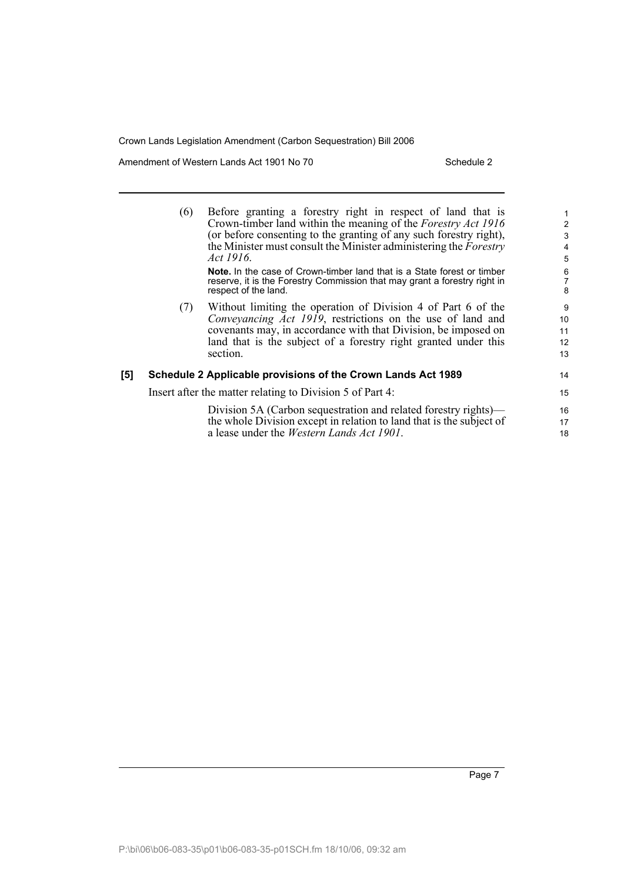Amendment of Western Lands Act 1901 No 70 Schedule 2

|     | (6) | Before granting a forestry right in respect of land that is<br>Crown-timber land within the meaning of the <i>Forestry Act 1916</i><br>(or before consenting to the granting of any such forestry right),<br>the Minister must consult the Minister administering the Forestry<br>Act 1916. | $\mathbf{1}$<br>2<br>3<br>4<br>5 |
|-----|-----|---------------------------------------------------------------------------------------------------------------------------------------------------------------------------------------------------------------------------------------------------------------------------------------------|----------------------------------|
|     |     | <b>Note.</b> In the case of Crown-timber land that is a State forest or timber<br>reserve, it is the Forestry Commission that may grant a forestry right in<br>respect of the land.                                                                                                         | 6<br>$\overline{7}$<br>8         |
|     | (7) | Without limiting the operation of Division 4 of Part 6 of the<br>Conveyancing Act 1919, restrictions on the use of land and<br>covenants may, in accordance with that Division, be imposed on<br>land that is the subject of a forestry right granted under this<br>section.                | 9<br>10<br>11<br>12<br>13        |
| [5] |     | Schedule 2 Applicable provisions of the Crown Lands Act 1989                                                                                                                                                                                                                                | 14                               |
|     |     | Insert after the matter relating to Division 5 of Part 4:                                                                                                                                                                                                                                   | 15                               |
|     |     | Division 5A (Carbon sequestration and related forestry rights)—<br>the whole Division except in relation to land that is the subject of<br>a lease under the <i>Western Lands Act 1901</i> .                                                                                                | 16<br>17<br>18                   |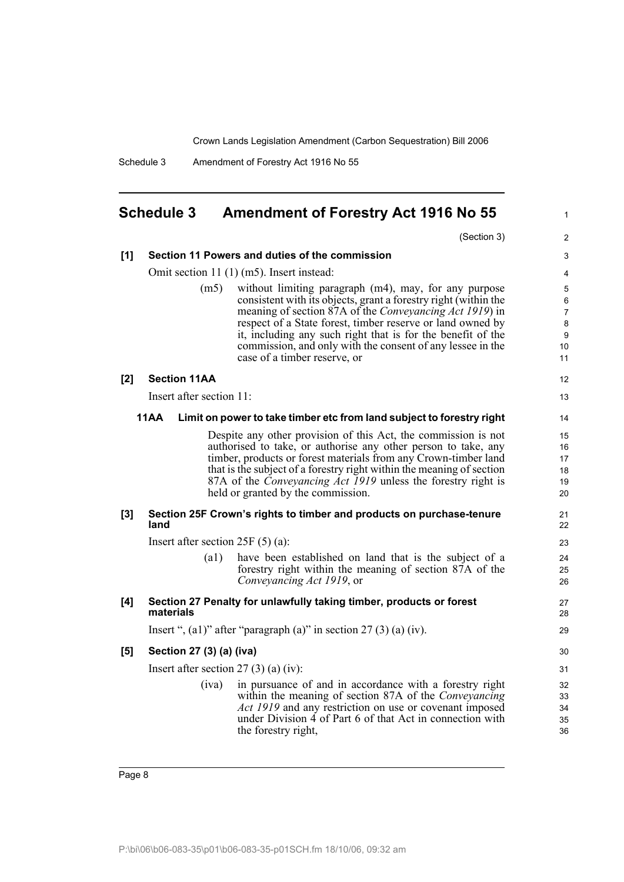1

Schedule 3 Amendment of Forestry Act 1916 No 55

# <span id="page-13-0"></span>**Schedule 3 Amendment of Forestry Act 1916 No 55**

|     |                                           | (Section 3)                                                                                                                                                                                                                                                                                                                                                                                                    | $\overline{2}$                                       |
|-----|-------------------------------------------|----------------------------------------------------------------------------------------------------------------------------------------------------------------------------------------------------------------------------------------------------------------------------------------------------------------------------------------------------------------------------------------------------------------|------------------------------------------------------|
| [1] |                                           | Section 11 Powers and duties of the commission                                                                                                                                                                                                                                                                                                                                                                 | 3                                                    |
|     | Omit section 11 (1) (m5). Insert instead: |                                                                                                                                                                                                                                                                                                                                                                                                                |                                                      |
|     | (m5)                                      | without limiting paragraph (m4), may, for any purpose<br>consistent with its objects, grant a forestry right (within the<br>meaning of section 87A of the Conveyancing Act 1919) in<br>respect of a State forest, timber reserve or land owned by<br>it, including any such right that is for the benefit of the<br>commission, and only with the consent of any lessee in the<br>case of a timber reserve, or | 5<br>6<br>$\overline{7}$<br>$\bf 8$<br>9<br>10<br>11 |
| [2] | <b>Section 11AA</b>                       |                                                                                                                                                                                                                                                                                                                                                                                                                | 12                                                   |
|     | Insert after section 11:                  |                                                                                                                                                                                                                                                                                                                                                                                                                | 13                                                   |
|     | 11AA                                      | Limit on power to take timber etc from land subject to forestry right                                                                                                                                                                                                                                                                                                                                          | 14                                                   |
|     |                                           | Despite any other provision of this Act, the commission is not<br>authorised to take, or authorise any other person to take, any<br>timber, products or forest materials from any Crown-timber land<br>that is the subject of a forestry right within the meaning of section<br>87A of the <i>Conveyancing Act 1919</i> unless the forestry right is<br>held or granted by the commission.                     | 15<br>16<br>17<br>18<br>19<br>20                     |
| [3] | land                                      | Section 25F Crown's rights to timber and products on purchase-tenure                                                                                                                                                                                                                                                                                                                                           | 21<br>22                                             |
|     | Insert after section $25F(5)(a)$ :        |                                                                                                                                                                                                                                                                                                                                                                                                                | 23                                                   |
|     | $\left( a1\right)$                        | have been established on land that is the subject of a<br>forestry right within the meaning of section 87A of the<br>Conveyancing Act 1919, or                                                                                                                                                                                                                                                                 | 24<br>25<br>26                                       |
| [4] | materials                                 | Section 27 Penalty for unlawfully taking timber, products or forest                                                                                                                                                                                                                                                                                                                                            | 27<br>28                                             |
|     |                                           | Insert ", (a1)" after "paragraph (a)" in section $27(3)$ (a) (iv).                                                                                                                                                                                                                                                                                                                                             | 29                                                   |
| [5] | Section 27 (3) (a) (iva)                  |                                                                                                                                                                                                                                                                                                                                                                                                                | 30                                                   |
|     | Insert after section $27(3)(a)(iv)$ :     |                                                                                                                                                                                                                                                                                                                                                                                                                |                                                      |
|     | (iva)                                     | in pursuance of and in accordance with a forestry right<br>within the meaning of section 87A of the Conveyancing<br>Act 1919 and any restriction on use or covenant imposed<br>under Division 4 of Part 6 of that Act in connection with<br>the forestry right,                                                                                                                                                | 32<br>33<br>34<br>35<br>36                           |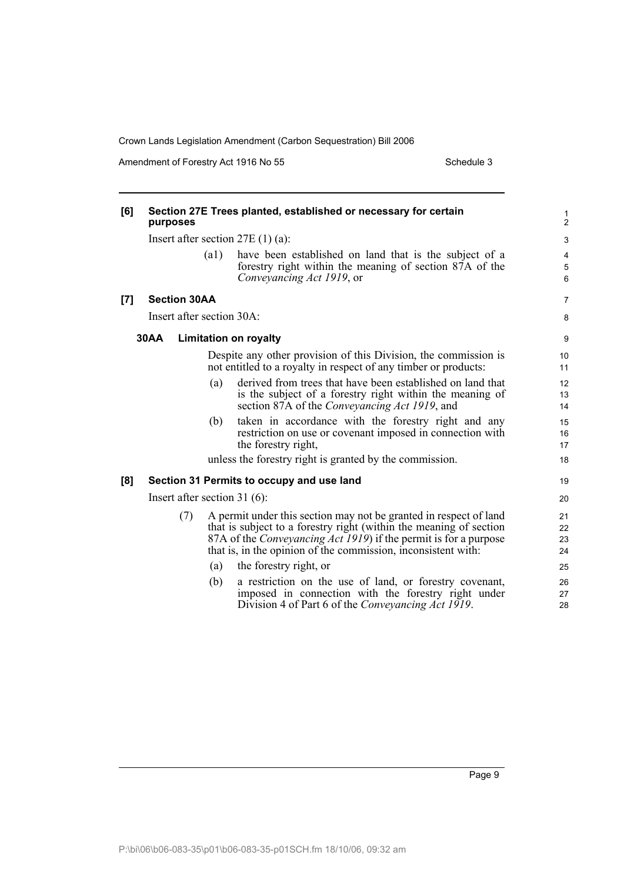Amendment of Forestry Act 1916 No 55 Schedule 3

| Insert after section $27E(1)(a)$ :<br>$\left( a1\right)$<br>have been established on land that is the subject of a<br>forestry right within the meaning of section 87A of the<br>Conveyancing Act 1919, or<br><b>Section 30AA</b><br>[7]<br>Insert after section 30A:<br><b>30AA</b><br><b>Limitation on royalty</b><br>Despite any other provision of this Division, the commission is<br>not entitled to a royalty in respect of any timber or products:<br>derived from trees that have been established on land that<br>(a)<br>is the subject of a forestry right within the meaning of<br>section 87A of the Conveyancing Act 1919, and<br>taken in accordance with the forestry right and any<br>(b)<br>restriction on use or covenant imposed in connection with<br>the forestry right,<br>unless the forestry right is granted by the commission.<br>[8]<br>Section 31 Permits to occupy and use land<br>Insert after section 31 $(6)$ :<br>A permit under this section may not be granted in respect of land<br>(7)<br>that is subject to a forestry right (within the meaning of section<br>87A of the <i>Conveyancing Act 1919</i> ) if the permit is for a purpose<br>that is, in the opinion of the commission, inconsistent with:<br>the forestry right, or<br>(a)<br>a restriction on the use of land, or forestry covenant,<br>(b)<br>imposed in connection with the forestry right under | 1<br>$\overline{c}$                |
|-----------------------------------------------------------------------------------------------------------------------------------------------------------------------------------------------------------------------------------------------------------------------------------------------------------------------------------------------------------------------------------------------------------------------------------------------------------------------------------------------------------------------------------------------------------------------------------------------------------------------------------------------------------------------------------------------------------------------------------------------------------------------------------------------------------------------------------------------------------------------------------------------------------------------------------------------------------------------------------------------------------------------------------------------------------------------------------------------------------------------------------------------------------------------------------------------------------------------------------------------------------------------------------------------------------------------------------------------------------------------------------------------------------|------------------------------------|
|                                                                                                                                                                                                                                                                                                                                                                                                                                                                                                                                                                                                                                                                                                                                                                                                                                                                                                                                                                                                                                                                                                                                                                                                                                                                                                                                                                                                           | 3                                  |
|                                                                                                                                                                                                                                                                                                                                                                                                                                                                                                                                                                                                                                                                                                                                                                                                                                                                                                                                                                                                                                                                                                                                                                                                                                                                                                                                                                                                           | $\overline{4}$<br>$\mathbf 5$<br>6 |
|                                                                                                                                                                                                                                                                                                                                                                                                                                                                                                                                                                                                                                                                                                                                                                                                                                                                                                                                                                                                                                                                                                                                                                                                                                                                                                                                                                                                           | $\overline{7}$                     |
|                                                                                                                                                                                                                                                                                                                                                                                                                                                                                                                                                                                                                                                                                                                                                                                                                                                                                                                                                                                                                                                                                                                                                                                                                                                                                                                                                                                                           | 8                                  |
|                                                                                                                                                                                                                                                                                                                                                                                                                                                                                                                                                                                                                                                                                                                                                                                                                                                                                                                                                                                                                                                                                                                                                                                                                                                                                                                                                                                                           | 9                                  |
|                                                                                                                                                                                                                                                                                                                                                                                                                                                                                                                                                                                                                                                                                                                                                                                                                                                                                                                                                                                                                                                                                                                                                                                                                                                                                                                                                                                                           | 10<br>11                           |
|                                                                                                                                                                                                                                                                                                                                                                                                                                                                                                                                                                                                                                                                                                                                                                                                                                                                                                                                                                                                                                                                                                                                                                                                                                                                                                                                                                                                           | 12<br>13<br>14                     |
|                                                                                                                                                                                                                                                                                                                                                                                                                                                                                                                                                                                                                                                                                                                                                                                                                                                                                                                                                                                                                                                                                                                                                                                                                                                                                                                                                                                                           | 15<br>16<br>17                     |
|                                                                                                                                                                                                                                                                                                                                                                                                                                                                                                                                                                                                                                                                                                                                                                                                                                                                                                                                                                                                                                                                                                                                                                                                                                                                                                                                                                                                           | 18                                 |
|                                                                                                                                                                                                                                                                                                                                                                                                                                                                                                                                                                                                                                                                                                                                                                                                                                                                                                                                                                                                                                                                                                                                                                                                                                                                                                                                                                                                           | 19                                 |
|                                                                                                                                                                                                                                                                                                                                                                                                                                                                                                                                                                                                                                                                                                                                                                                                                                                                                                                                                                                                                                                                                                                                                                                                                                                                                                                                                                                                           | 20                                 |
|                                                                                                                                                                                                                                                                                                                                                                                                                                                                                                                                                                                                                                                                                                                                                                                                                                                                                                                                                                                                                                                                                                                                                                                                                                                                                                                                                                                                           | 21<br>22<br>23<br>24               |
|                                                                                                                                                                                                                                                                                                                                                                                                                                                                                                                                                                                                                                                                                                                                                                                                                                                                                                                                                                                                                                                                                                                                                                                                                                                                                                                                                                                                           | 25                                 |
| Division 4 of Part 6 of the Conveyancing Act 1919.                                                                                                                                                                                                                                                                                                                                                                                                                                                                                                                                                                                                                                                                                                                                                                                                                                                                                                                                                                                                                                                                                                                                                                                                                                                                                                                                                        | 26<br>27<br>28                     |